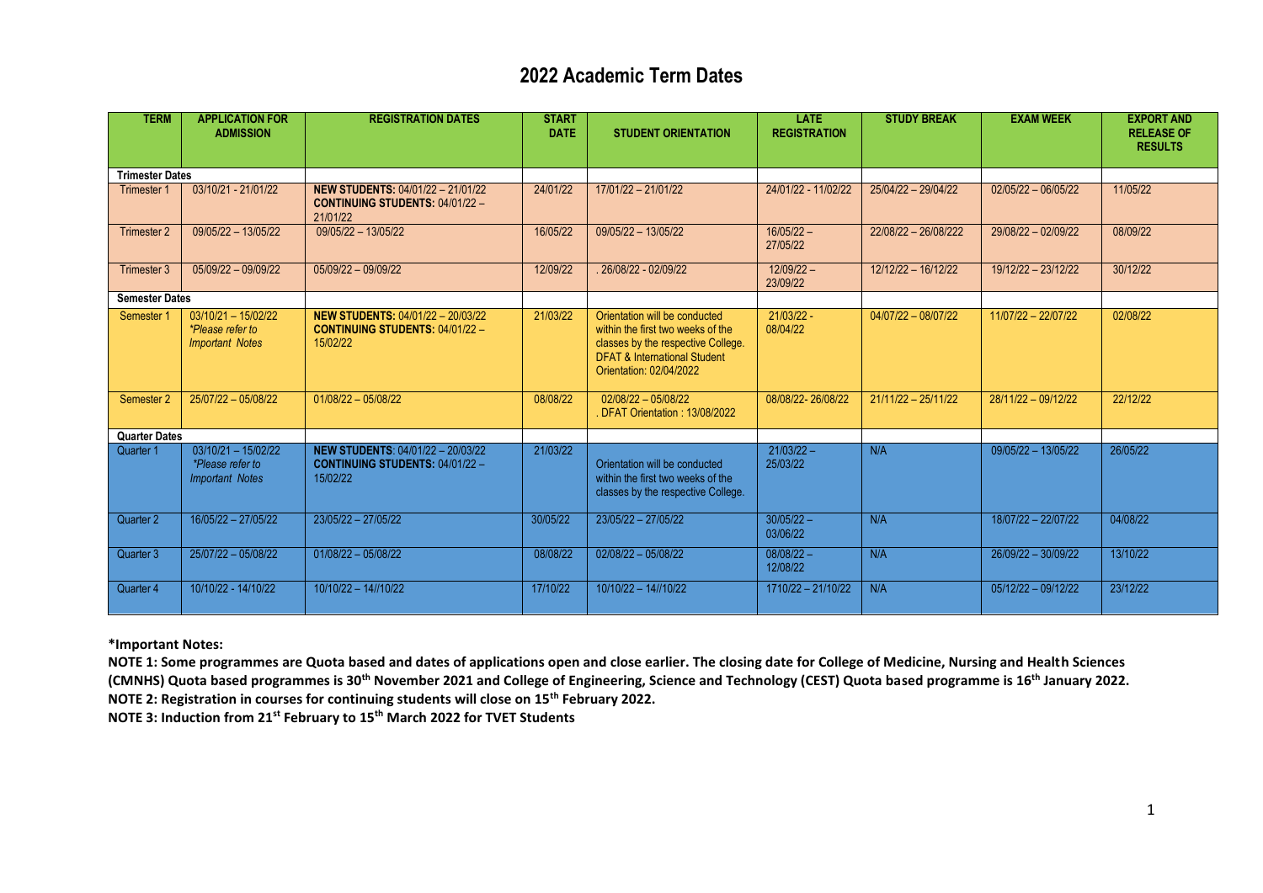## **2022 Academic Term Dates**

| <b>TERM</b>            | <b>APPLICATION FOR</b><br><b>ADMISSION</b>                                 | <b>REGISTRATION DATES</b>                                                                      | <b>START</b><br><b>DATE</b> | <b>STUDENT ORIENTATION</b>                                                                                                                                                     | <b>LATE</b><br><b>REGISTRATION</b> | <b>STUDY BREAK</b>    | <b>EXAM WEEK</b>      | <b>EXPORT AND</b><br><b>RELEASE OF</b> |
|------------------------|----------------------------------------------------------------------------|------------------------------------------------------------------------------------------------|-----------------------------|--------------------------------------------------------------------------------------------------------------------------------------------------------------------------------|------------------------------------|-----------------------|-----------------------|----------------------------------------|
|                        |                                                                            |                                                                                                |                             |                                                                                                                                                                                |                                    |                       |                       | <b>RESULTS</b>                         |
| <b>Trimester Dates</b> |                                                                            |                                                                                                |                             |                                                                                                                                                                                |                                    |                       |                       |                                        |
| <b>Trimester 1</b>     | 03/10/21 - 21/01/22                                                        | <b>NEW STUDENTS: 04/01/22 - 21/01/22</b><br><b>CONTINUING STUDENTS: 04/01/22 -</b><br>21/01/22 | 24/01/22                    | $17/01/22 - 21/01/22$                                                                                                                                                          | 24/01/22 - 11/02/22                | 25/04/22 - 29/04/22   | $02/05/22 - 06/05/22$ | 11/05/22                               |
| Trimester 2            | $09/05/22 - 13/05/22$                                                      | 09/05/22 - 13/05/22                                                                            | 16/05/22                    | 09/05/22 - 13/05/22                                                                                                                                                            | $16/05/22 -$<br>27/05/22           | 22/08/22 - 26/08/222  | 29/08/22 - 02/09/22   | 08/09/22                               |
| Trimester 3            | 05/09/22 - 09/09/22                                                        | 05/09/22 - 09/09/22                                                                            | 12/09/22                    | 26/08/22 - 02/09/22                                                                                                                                                            | $12/09/22 -$<br>23/09/22           | 12/12/22 - 16/12/22   | 19/12/22 - 23/12/22   | 30/12/22                               |
| <b>Semester Dates</b>  |                                                                            |                                                                                                |                             |                                                                                                                                                                                |                                    |                       |                       |                                        |
| Semester 1             | $03/10/21 - 15/02/22$<br>*Please refer to<br><b>Important Notes</b>        | <b>NEW STUDENTS: 04/01/22 - 20/03/22</b><br><b>CONTINUING STUDENTS: 04/01/22-</b><br>15/02/22  | 21/03/22                    | Orientation will be conducted<br>within the first two weeks of the<br>classes by the respective College.<br><b>DFAT &amp; International Student</b><br>Orientation: 02/04/2022 | $21/03/22 -$<br>08/04/22           | $04/07/22 - 08/07/22$ | 11/07/22 - 22/07/22   | 02/08/22                               |
| Semester 2             | 25/07/22 - 05/08/22                                                        | $01/08/22 - 05/08/22$                                                                          | 08/08/22                    | $02/08/22 - 05/08/22$<br>DFAT Orientation: 13/08/2022                                                                                                                          | 08/08/22-26/08/22                  | $21/11/22 - 25/11/22$ | 28/11/22 - 09/12/22   | 22/12/22                               |
| <b>Quarter Dates</b>   |                                                                            |                                                                                                |                             |                                                                                                                                                                                |                                    |                       |                       |                                        |
| Quarter 1              | $03/10/21 - 15/02/22$<br><i>*Please refer to</i><br><b>Important Notes</b> | <b>NEW STUDENTS: 04/01/22 - 20/03/22</b><br><b>CONTINUING STUDENTS: 04/01/22-</b><br>15/02/22  | 21/03/22                    | Orientation will be conducted<br>within the first two weeks of the<br>classes by the respective College.                                                                       | $21/03/22 -$<br>25/03/22           | N/A                   | 09/05/22 - 13/05/22   | 26/05/22                               |
| Quarter 2              | 16/05/22 - 27/05/22                                                        | 23/05/22 - 27/05/22                                                                            | 30/05/22                    | 23/05/22 - 27/05/22                                                                                                                                                            | $30/05/22 -$<br>03/06/22           | N/A                   | 18/07/22 - 22/07/22   | 04/08/22                               |
| Quarter 3              | 25/07/22 - 05/08/22                                                        | $01/08/22 - 05/08/22$                                                                          | 08/08/22                    | $02/08/22 - 05/08/22$                                                                                                                                                          | $08/08/22 -$<br>12/08/22           | N/A                   | 26/09/22 - 30/09/22   | 13/10/22                               |
| Quarter 4              | 10/10/22 - 14/10/22                                                        | 10/10/22 - 14//10/22                                                                           | 17/10/22                    | 10/10/22 - 14//10/22                                                                                                                                                           | 1710/22 - 21/10/22                 | N/A                   | $05/12/22 - 09/12/22$ | 23/12/22                               |

**\*Important Notes:**

**NOTE 1: Some programmes are Quota based and dates of applications open and close earlier. The closing date for College of Medicine, Nursing and Health Sciences (CMNHS) Quota based programmes is 30th November 2021 and College of Engineering, Science and Technology (CEST) Quota based programme is 16th January 2022. NOTE 2: Registration in courses for continuing students will close on 15th February 2022.** 

**NOTE 3: Induction from 21st February to 15th March 2022 for TVET Students**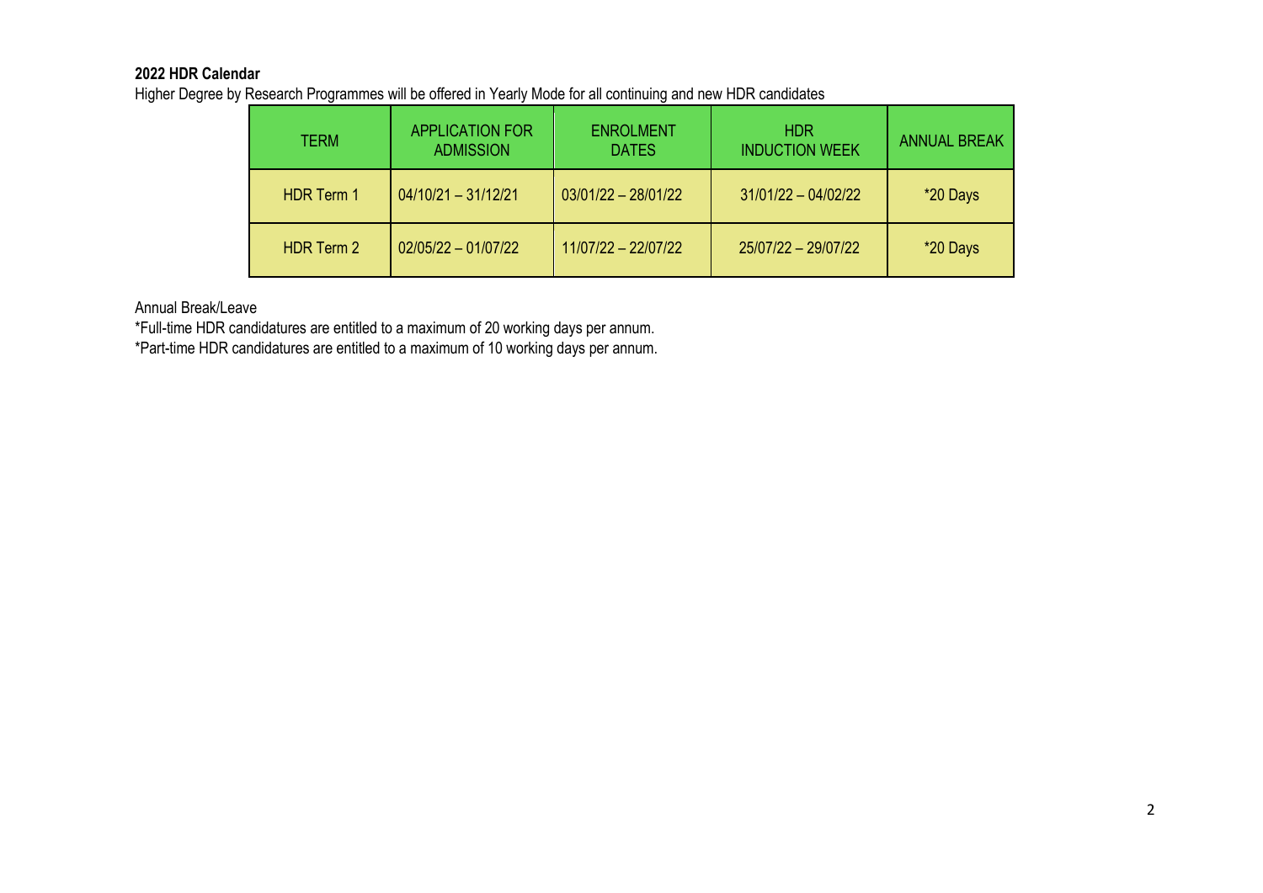## **2022 HDR Calendar**

Higher Degree by Research Programmes will be offered in Yearly Mode for all continuing and new HDR candidates

| TERM              | <b>APPLICATION FOR</b><br><b>ADMISSION</b> | <b>ENROLMENT</b><br><b>DATES</b> | <b>HDR</b><br><b>INDUCTION WEEK</b> | <b>ANNUAL BREAK</b> |
|-------------------|--------------------------------------------|----------------------------------|-------------------------------------|---------------------|
| <b>HDR Term 1</b> | $04/10/21 - 31/12/21$                      | $03/01/22 - 28/01/22$            | $31/01/22 - 04/02/22$               | *20 Days            |
| <b>HDR Term 2</b> | $02/05/22 - 01/07/22$                      | $11/07/22 - 22/07/22$            | 25/07/22 - 29/07/22                 | *20 Days            |

Annual Break/Leave

\*Full-time HDR candidatures are entitled to a maximum of 20 working days per annum.

\*Part-time HDR candidatures are entitled to a maximum of 10 working days per annum.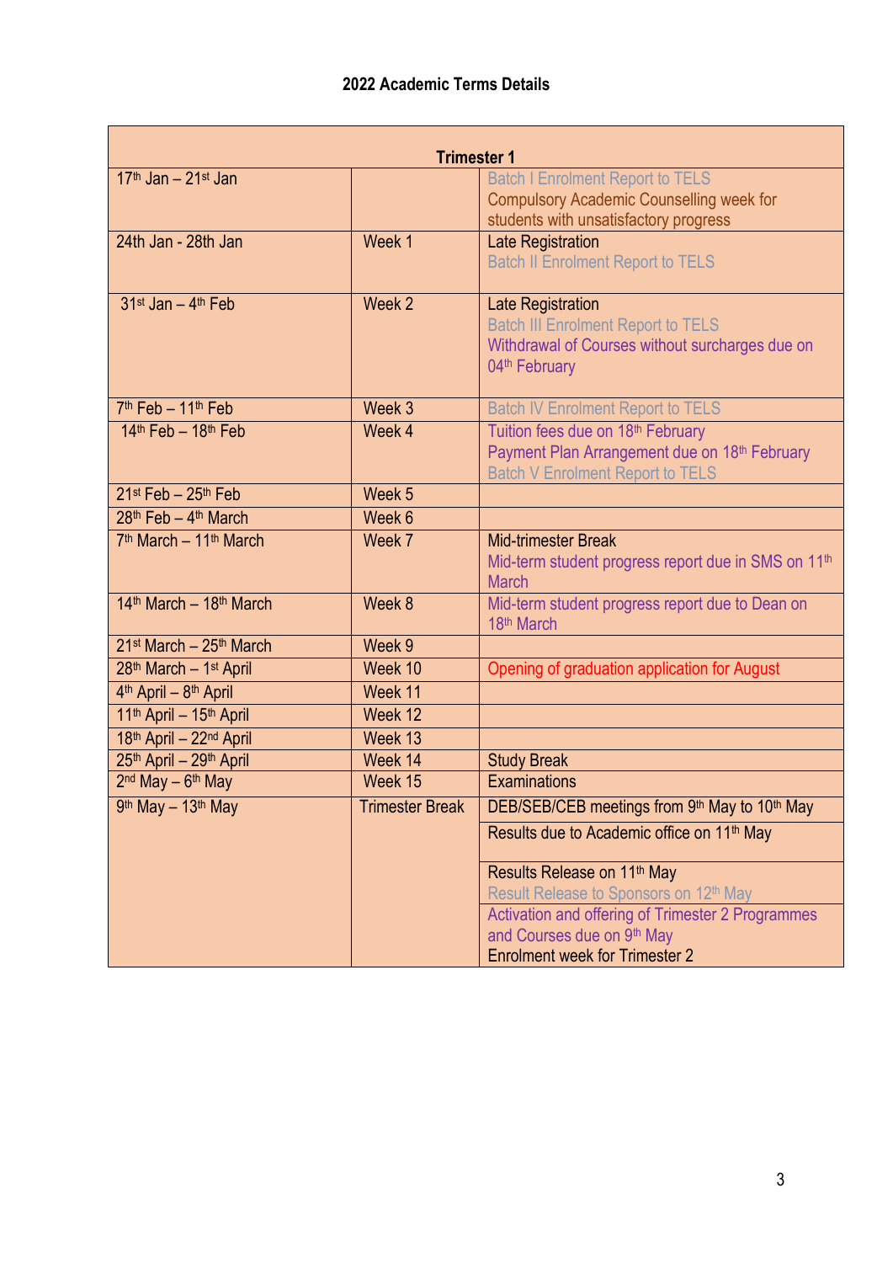| <b>Trimester 1</b>                             |                        |                                                                 |  |  |  |
|------------------------------------------------|------------------------|-----------------------------------------------------------------|--|--|--|
| $17th$ Jan - $21st$ Jan                        |                        | <b>Batch I Enrolment Report to TELS</b>                         |  |  |  |
|                                                |                        | <b>Compulsory Academic Counselling week for</b>                 |  |  |  |
|                                                |                        | students with unsatisfactory progress                           |  |  |  |
| 24th Jan - 28th Jan                            | Week 1                 | <b>Late Registration</b>                                        |  |  |  |
|                                                |                        | <b>Batch II Enrolment Report to TELS</b>                        |  |  |  |
| $31$ <sup>st</sup> Jan - $4$ <sup>th</sup> Feb | Week 2                 | <b>Late Registration</b>                                        |  |  |  |
|                                                |                        | <b>Batch III Enrolment Report to TELS</b>                       |  |  |  |
|                                                |                        | Withdrawal of Courses without surcharges due on                 |  |  |  |
|                                                |                        | 04 <sup>th</sup> February                                       |  |  |  |
| 7 <sup>th</sup> Feb - 11 <sup>th</sup> Feb     | Week 3                 | <b>Batch IV Enrolment Report to TELS</b>                        |  |  |  |
| $14th$ Feb - $18th$ Feb                        | Week 4                 | Tuition fees due on 18th February                               |  |  |  |
|                                                |                        | Payment Plan Arrangement due on 18th February                   |  |  |  |
|                                                |                        | <b>Batch V Enrolment Report to TELS</b>                         |  |  |  |
| $21st$ Feb - $25th$ Feb                        | Week 5                 |                                                                 |  |  |  |
| $28th$ Feb - 4 <sup>th</sup> March             | Week 6                 |                                                                 |  |  |  |
| 7 <sup>th</sup> March - 11 <sup>th</sup> March | Week 7                 | <b>Mid-trimester Break</b>                                      |  |  |  |
|                                                |                        | Mid-term student progress report due in SMS on 11 <sup>th</sup> |  |  |  |
| 14th March - 18th March                        | Week 8                 | <b>March</b>                                                    |  |  |  |
|                                                |                        | Mid-term student progress report due to Dean on<br>18th March   |  |  |  |
| $21st March - 25th March$                      | Week 9                 |                                                                 |  |  |  |
| 28th March - 1st April                         | Week 10                | Opening of graduation application for August                    |  |  |  |
| 4 <sup>th</sup> April - 8 <sup>th</sup> April  | Week 11                |                                                                 |  |  |  |
| 11th April - 15th April                        | Week 12                |                                                                 |  |  |  |
| 18th April - 22nd April                        | Week 13                |                                                                 |  |  |  |
| 25th April - 29th April                        | Week 14                | <b>Study Break</b>                                              |  |  |  |
| $2nd$ May $-6th$ May                           | Week 15                | <b>Examinations</b>                                             |  |  |  |
| 9th May - 13th May                             | <b>Trimester Break</b> | DEB/SEB/CEB meetings from 9th May to 10th May                   |  |  |  |
|                                                |                        | Results due to Academic office on 11 <sup>th</sup> May          |  |  |  |
|                                                |                        | Results Release on 11 <sup>th</sup> May                         |  |  |  |
|                                                |                        | Result Release to Sponsors on 12th May                          |  |  |  |
|                                                |                        | Activation and offering of Trimester 2 Programmes               |  |  |  |
|                                                |                        | and Courses due on 9th May                                      |  |  |  |
|                                                |                        | <b>Enrolment week for Trimester 2</b>                           |  |  |  |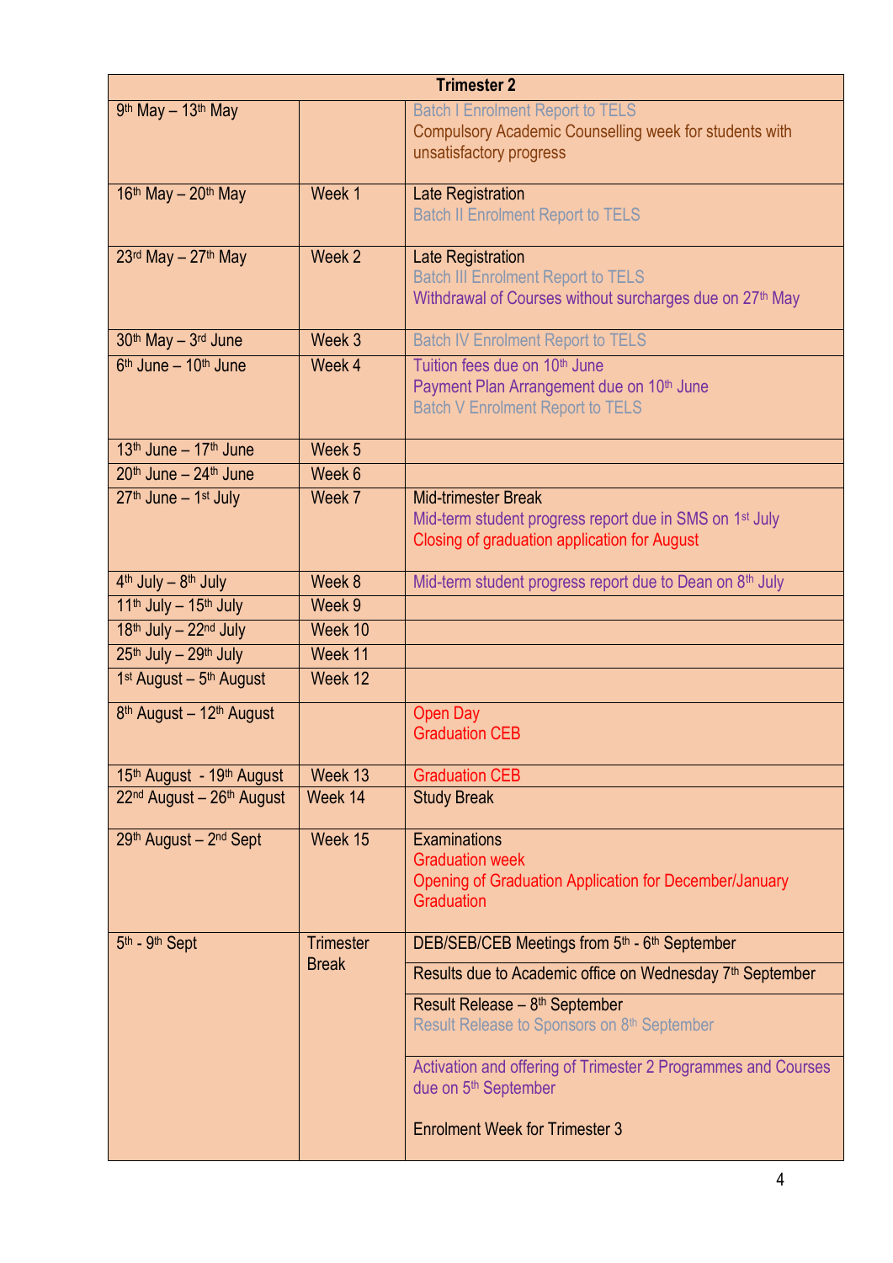| <b>Trimester 2</b>                                                                           |                  |                                                                                                                   |  |  |
|----------------------------------------------------------------------------------------------|------------------|-------------------------------------------------------------------------------------------------------------------|--|--|
| 9th May - 13th May                                                                           |                  | <b>Batch I Enrolment Report to TELS</b><br>Compulsory Academic Counselling week for students with                 |  |  |
|                                                                                              |                  | unsatisfactory progress                                                                                           |  |  |
| $16th$ May - $20th$ May                                                                      | Week 1           |                                                                                                                   |  |  |
|                                                                                              |                  | Late Registration<br><b>Batch II Enrolment Report to TELS</b>                                                     |  |  |
| $23rd$ May - $27th$ May                                                                      | Week 2           | Late Registration                                                                                                 |  |  |
|                                                                                              |                  | <b>Batch III Enrolment Report to TELS</b><br>Withdrawal of Courses without surcharges due on 27 <sup>th</sup> May |  |  |
|                                                                                              |                  |                                                                                                                   |  |  |
| 30th May - 3rd June                                                                          | Week 3           | <b>Batch IV Enrolment Report to TELS</b>                                                                          |  |  |
| 6 <sup>th</sup> June - 10 <sup>th</sup> June                                                 | Week 4           | Tuition fees due on 10 <sup>th</sup> June<br>Payment Plan Arrangement due on 10 <sup>th</sup> June                |  |  |
|                                                                                              |                  | <b>Batch V Enrolment Report to TELS</b>                                                                           |  |  |
|                                                                                              |                  |                                                                                                                   |  |  |
| $13th$ June $-17th$ June<br>$20th$ June – $24th$ June                                        | Week 5<br>Week 6 |                                                                                                                   |  |  |
|                                                                                              |                  |                                                                                                                   |  |  |
| $27th$ June $-1st$ July                                                                      | Week 7           | <b>Mid-trimester Break</b><br>Mid-term student progress report due in SMS on 1 <sup>st</sup> July                 |  |  |
|                                                                                              |                  | Closing of graduation application for August                                                                      |  |  |
|                                                                                              | Week 8           |                                                                                                                   |  |  |
| 4 <sup>th</sup> July - 8 <sup>th</sup> July<br>11 <sup>th</sup> July - 15 <sup>th</sup> July | Week 9           | Mid-term student progress report due to Dean on 8th July                                                          |  |  |
| 18th July - 22nd July                                                                        | Week 10          |                                                                                                                   |  |  |
| 25th July - 29th July                                                                        | Week 11          |                                                                                                                   |  |  |
| 1 <sup>st</sup> August - 5 <sup>th</sup> August                                              | Week 12          |                                                                                                                   |  |  |
| 8 <sup>th</sup> August - 12 <sup>th</sup> August                                             |                  | Open Day                                                                                                          |  |  |
|                                                                                              |                  | <b>Graduation CEB</b>                                                                                             |  |  |
| 15 <sup>th</sup> August - 19 <sup>th</sup> August                                            | Week 13          | <b>Graduation CEB</b>                                                                                             |  |  |
| 22 <sup>nd</sup> August - 26 <sup>th</sup> August                                            | Week 14          | <b>Study Break</b>                                                                                                |  |  |
| 29th August - 2nd Sept                                                                       | Week 15          | <b>Examinations</b>                                                                                               |  |  |
|                                                                                              |                  | <b>Graduation week</b>                                                                                            |  |  |
|                                                                                              |                  | Opening of Graduation Application for December/January                                                            |  |  |
|                                                                                              |                  | <b>Graduation</b>                                                                                                 |  |  |
| 5th - 9th Sept                                                                               | <b>Trimester</b> | DEB/SEB/CEB Meetings from 5th - 6th September                                                                     |  |  |
|                                                                                              | <b>Break</b>     | Results due to Academic office on Wednesday 7 <sup>th</sup> September                                             |  |  |
|                                                                                              |                  | Result Release - 8 <sup>th</sup> September<br>Result Release to Sponsors on 8th September                         |  |  |
|                                                                                              |                  | Activation and offering of Trimester 2 Programmes and Courses<br>due on 5 <sup>th</sup> September                 |  |  |
|                                                                                              |                  | <b>Enrolment Week for Trimester 3</b>                                                                             |  |  |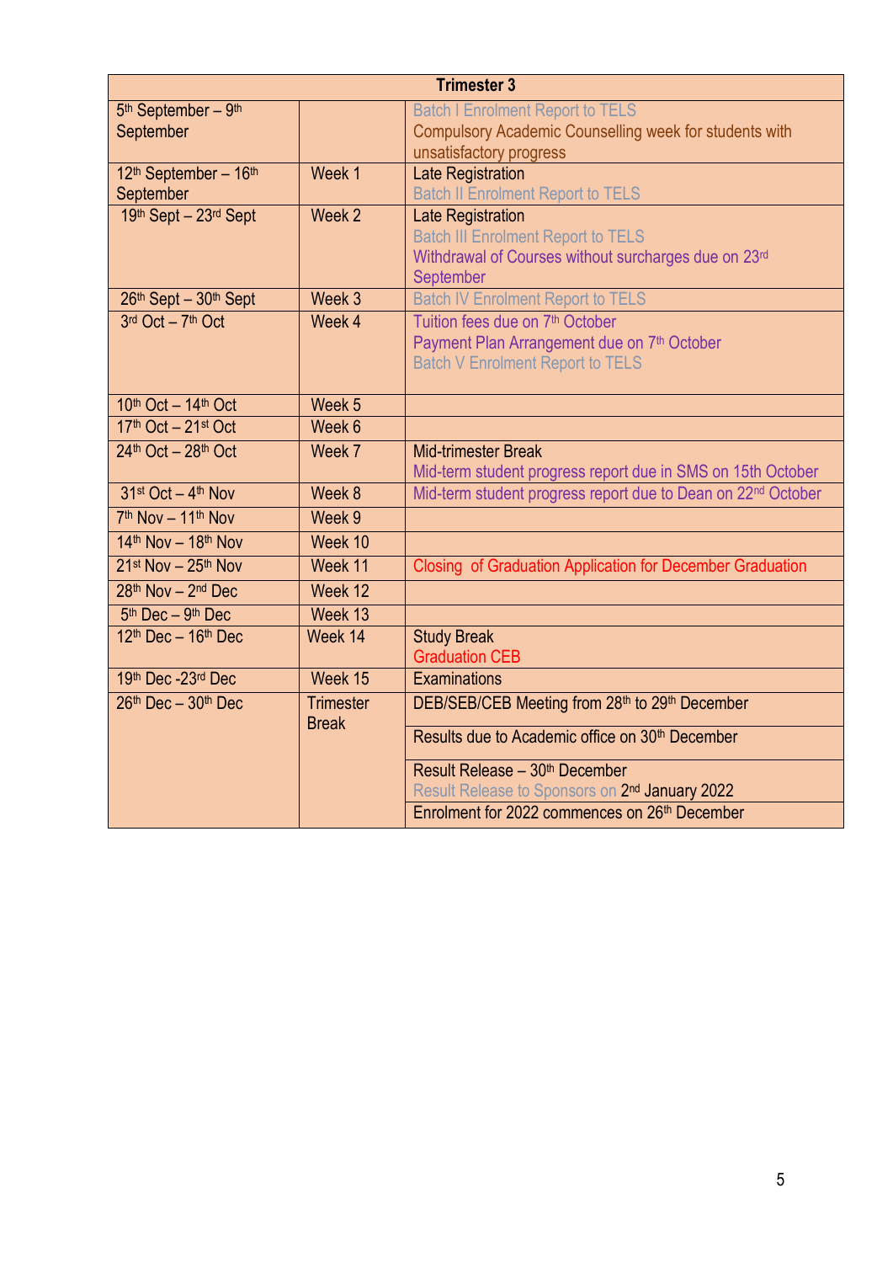| <b>Trimester 3</b>                              |                   |                                                              |  |  |
|-------------------------------------------------|-------------------|--------------------------------------------------------------|--|--|
| 5 <sup>th</sup> September - 9 <sup>th</sup>     |                   | <b>Batch I Enrolment Report to TELS</b>                      |  |  |
| September                                       |                   | Compulsory Academic Counselling week for students with       |  |  |
|                                                 |                   | unsatisfactory progress                                      |  |  |
| 12th September - 16th                           | Week 1            | <b>Late Registration</b>                                     |  |  |
| September                                       |                   | <b>Batch II Enrolment Report to TELS</b>                     |  |  |
| 19th Sept - 23rd Sept                           | Week 2            | Late Registration                                            |  |  |
|                                                 |                   | <b>Batch III Enrolment Report to TELS</b>                    |  |  |
|                                                 |                   | Withdrawal of Courses without surcharges due on 23rd         |  |  |
| 26th Sept - 30th Sept                           | Week 3            | September<br><b>Batch IV Enrolment Report to TELS</b>        |  |  |
| 3rd Oct - 7th Oct                               | Week 4            | Tuition fees due on 7th October                              |  |  |
|                                                 |                   | Payment Plan Arrangement due on 7th October                  |  |  |
|                                                 |                   | <b>Batch V Enrolment Report to TELS</b>                      |  |  |
|                                                 |                   |                                                              |  |  |
| 10th Oct - 14th Oct                             | Week <sub>5</sub> |                                                              |  |  |
| 17th Oct - 21st Oct                             | Week 6            |                                                              |  |  |
| $24th$ Oct - $28th$ Oct                         | Week 7            | <b>Mid-trimester Break</b>                                   |  |  |
|                                                 |                   | Mid-term student progress report due in SMS on 15th October  |  |  |
| 31st Oct - 4th Nov                              | Week 8            | Mid-term student progress report due to Dean on 22nd October |  |  |
| 7th Nov - 11th Nov                              | Week 9            |                                                              |  |  |
| $14th$ Nov - $18th$ Nov                         | Week 10           |                                                              |  |  |
| $21$ <sup>st</sup> Nov - $25$ <sup>th</sup> Nov | Week 11           | Closing of Graduation Application for December Graduation    |  |  |
| 28th Nov - 2nd Dec                              | Week 12           |                                                              |  |  |
| 5 <sup>th</sup> Dec - 9 <sup>th</sup> Dec       | Week 13           |                                                              |  |  |
| $12th$ Dec - $16th$ Dec                         | Week 14           | <b>Study Break</b>                                           |  |  |
|                                                 |                   | <b>Graduation CEB</b>                                        |  |  |
| 19th Dec-23rd Dec                               | Week 15           | <b>Examinations</b>                                          |  |  |
| $26th$ Dec - $30th$ Dec                         | <b>Trimester</b>  | DEB/SEB/CEB Meeting from 28th to 29th December               |  |  |
|                                                 | <b>Break</b>      | Results due to Academic office on 30 <sup>th</sup> December  |  |  |
|                                                 |                   | Result Release - 30 <sup>th</sup> December                   |  |  |
|                                                 |                   | Result Release to Sponsors on 2 <sup>nd</sup> January 2022   |  |  |
|                                                 |                   |                                                              |  |  |
|                                                 |                   | Enrolment for 2022 commences on 26th December                |  |  |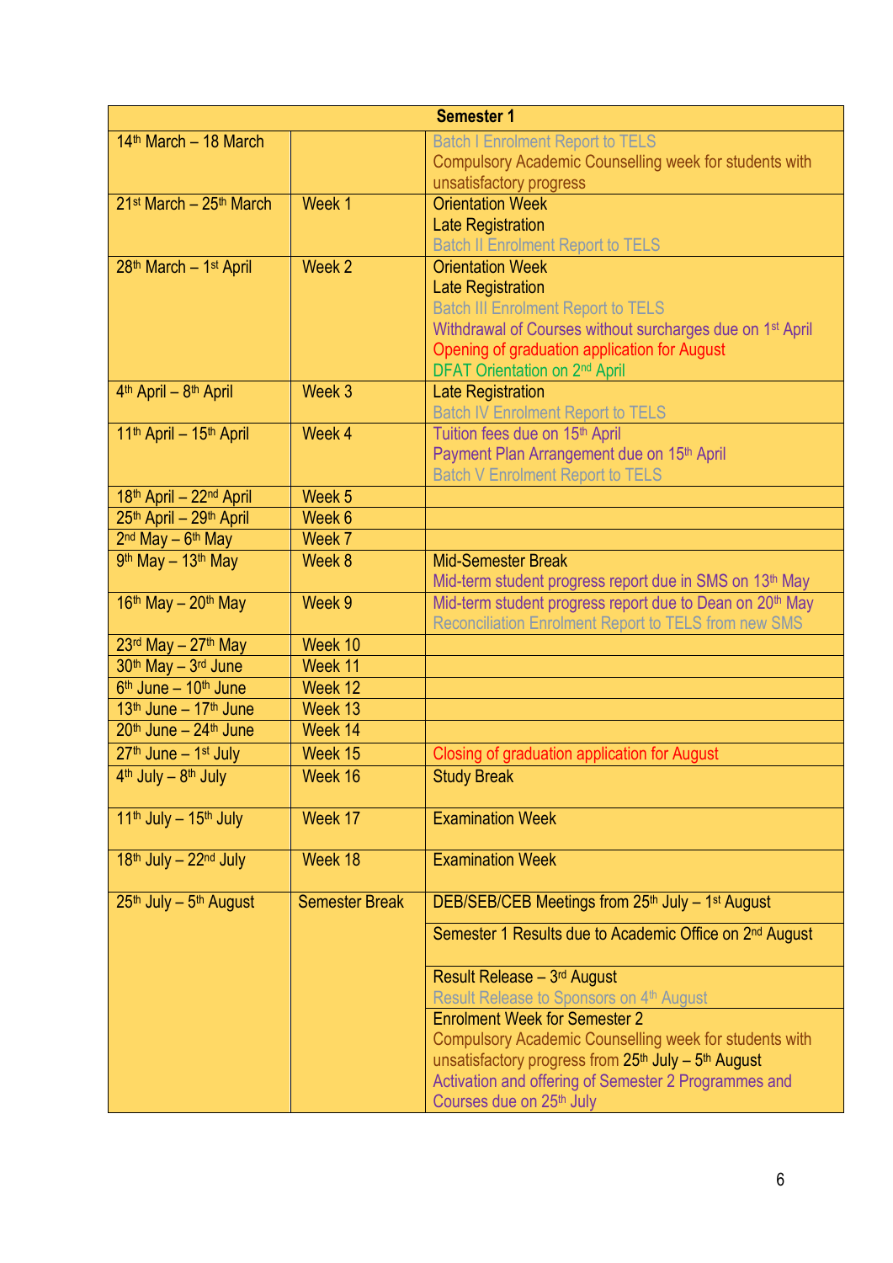|                                                 |                       | <b>Semester 1</b>                                                                                                               |
|-------------------------------------------------|-----------------------|---------------------------------------------------------------------------------------------------------------------------------|
| $14th$ March - 18 March                         |                       | <b>Batch I Enrolment Report to TELS</b>                                                                                         |
|                                                 |                       | Compulsory Academic Counselling week for students with                                                                          |
|                                                 |                       | unsatisfactory progress                                                                                                         |
| 21 <sup>st</sup> March - 25 <sup>th</sup> March | Week 1                | <b>Orientation Week</b>                                                                                                         |
|                                                 |                       | <b>Late Registration</b>                                                                                                        |
|                                                 |                       | <b>Batch II Enrolment Report to TELS</b>                                                                                        |
| 28th March - 1st April                          | Week 2                | <b>Orientation Week</b>                                                                                                         |
|                                                 |                       | <b>Late Registration</b>                                                                                                        |
|                                                 |                       | <b>Batch III Enrolment Report to TELS</b>                                                                                       |
|                                                 |                       | Withdrawal of Courses without surcharges due on 1 <sup>st</sup> April                                                           |
|                                                 |                       | Opening of graduation application for August                                                                                    |
|                                                 |                       | DFAT Orientation on 2 <sup>nd</sup> April                                                                                       |
| 4 <sup>th</sup> April - 8 <sup>th</sup> April   | Week 3                | <b>Late Registration</b>                                                                                                        |
|                                                 |                       | <b>Batch IV Enrolment Report to TELS</b>                                                                                        |
| 11 <sup>th</sup> April - 15 <sup>th</sup> April | Week 4                | Tuition fees due on 15th April                                                                                                  |
|                                                 |                       | Payment Plan Arrangement due on 15th April                                                                                      |
|                                                 |                       | <b>Batch V Enrolment Report to TELS</b>                                                                                         |
| 18th April - 22nd April                         | Week 5                |                                                                                                                                 |
| 25th April - 29th April                         | Week 6                |                                                                                                                                 |
| $2nd$ May $-6th$ May<br>9th May - 13th May      | Week 7<br>Week 8      | <b>Mid-Semester Break</b>                                                                                                       |
|                                                 |                       |                                                                                                                                 |
| $16th$ May - $20th$ May                         | Week 9                | Mid-term student progress report due in SMS on 13th May<br>Mid-term student progress report due to Dean on 20 <sup>th</sup> May |
|                                                 |                       | Reconciliation Enrolment Report to TELS from new SMS                                                                            |
| $23rd$ May - $27th$ May                         | Week 10               |                                                                                                                                 |
| 30th May - 3rd June                             | Week 11               |                                                                                                                                 |
| 6 <sup>th</sup> June - 10 <sup>th</sup> June    | Week 12               |                                                                                                                                 |
| 13th June - 17th June                           | Week 13               |                                                                                                                                 |
| $20th$ June $-24th$ June                        | Week 14               |                                                                                                                                 |
| $27th$ June $-1st$ July                         | Week 15               | Closing of graduation application for August                                                                                    |
| 4 <sup>th</sup> July - 8 <sup>th</sup> July     | Week 16               | <b>Study Break</b>                                                                                                              |
|                                                 |                       |                                                                                                                                 |
| 11 <sup>th</sup> July - 15 <sup>th</sup> July   | Week 17               | <b>Examination Week</b>                                                                                                         |
|                                                 |                       |                                                                                                                                 |
| 18th July - 22nd July                           | Week 18               | <b>Examination Week</b>                                                                                                         |
|                                                 |                       |                                                                                                                                 |
| 25th July - 5th August                          | <b>Semester Break</b> | DEB/SEB/CEB Meetings from 25th July - 1st August                                                                                |
|                                                 |                       | Semester 1 Results due to Academic Office on 2 <sup>nd</sup> August                                                             |
|                                                 |                       |                                                                                                                                 |
|                                                 |                       | Result Release - 3rd August                                                                                                     |
|                                                 |                       | Result Release to Sponsors on 4th August                                                                                        |
|                                                 |                       | <b>Enrolment Week for Semester 2</b>                                                                                            |
|                                                 |                       | Compulsory Academic Counselling week for students with                                                                          |
|                                                 |                       | unsatisfactory progress from 25 <sup>th</sup> July - 5 <sup>th</sup> August                                                     |
|                                                 |                       | Activation and offering of Semester 2 Programmes and                                                                            |
|                                                 |                       | Courses due on 25 <sup>th</sup> July                                                                                            |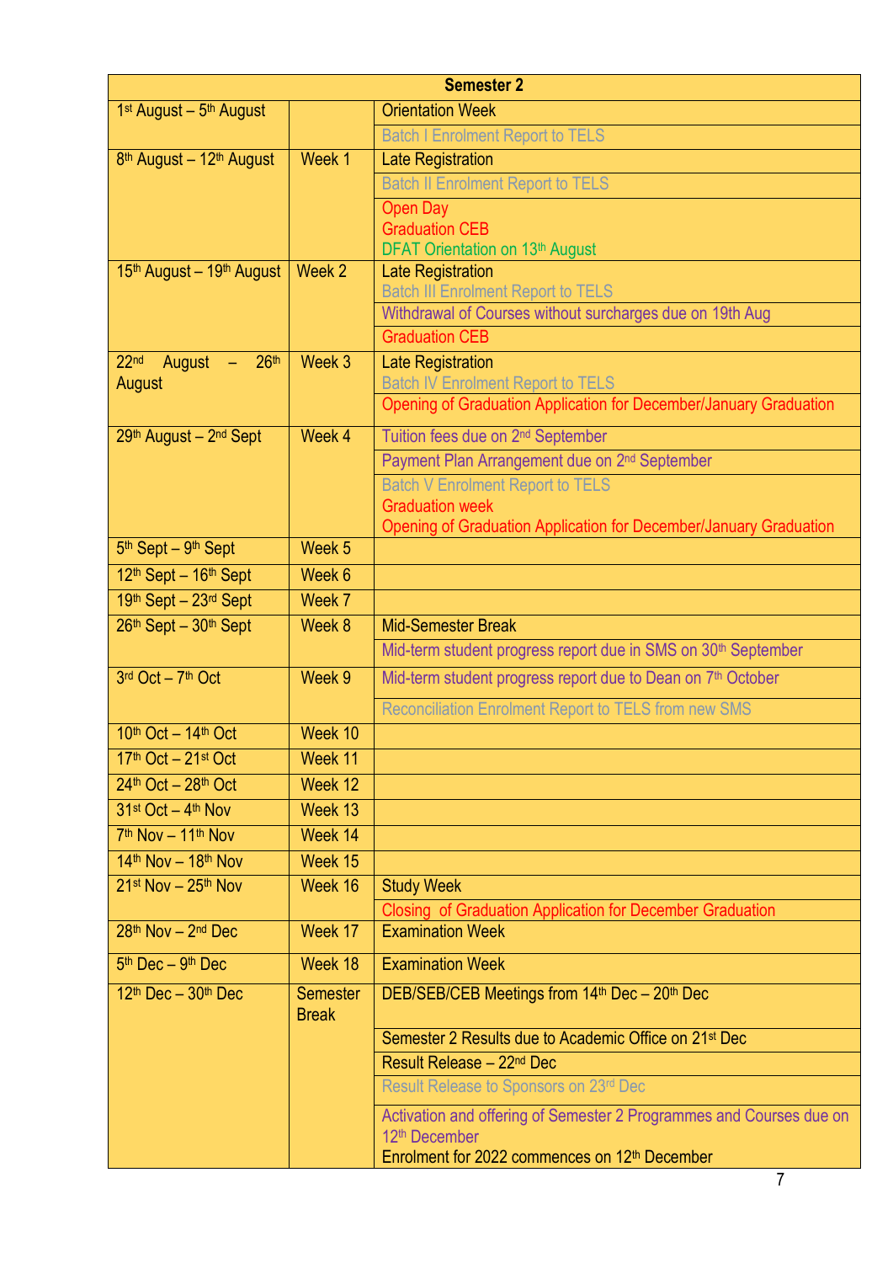| <b>Semester 2</b>                                          |                                 |                                                                                        |  |  |
|------------------------------------------------------------|---------------------------------|----------------------------------------------------------------------------------------|--|--|
| $1st$ August - $5th$ August                                |                                 | <b>Orientation Week</b>                                                                |  |  |
|                                                            |                                 | <b>Batch I Enrolment Report to TELS</b>                                                |  |  |
| 8 <sup>th</sup> August - 12 <sup>th</sup> August           | Week 1                          | <b>Late Registration</b>                                                               |  |  |
|                                                            |                                 | <b>Batch II Enrolment Report to TELS</b>                                               |  |  |
|                                                            |                                 | <b>Open Day</b>                                                                        |  |  |
|                                                            |                                 | <b>Graduation CEB</b>                                                                  |  |  |
| 15 <sup>th</sup> August - 19 <sup>th</sup> August          | Week 2                          | DFAT Orientation on 13th August<br><b>Late Registration</b>                            |  |  |
|                                                            |                                 | <b>Batch III Enrolment Report to TELS</b>                                              |  |  |
|                                                            |                                 | Withdrawal of Courses without surcharges due on 19th Aug                               |  |  |
|                                                            |                                 | <b>Graduation CEB</b>                                                                  |  |  |
| 22 <sub>nd</sub><br>26 <sup>th</sup><br>August<br>$\sim$ . | Week 3                          | <b>Late Registration</b>                                                               |  |  |
| August                                                     |                                 | <b>Batch IV Enrolment Report to TELS</b>                                               |  |  |
|                                                            |                                 | Opening of Graduation Application for December/January Graduation                      |  |  |
| 29th August - 2nd Sept                                     | Week 4                          | Tuition fees due on 2 <sup>nd</sup> September                                          |  |  |
|                                                            |                                 | Payment Plan Arrangement due on 2 <sup>nd</sup> September                              |  |  |
|                                                            |                                 | <b>Batch V Enrolment Report to TELS</b>                                                |  |  |
|                                                            |                                 | <b>Graduation week</b>                                                                 |  |  |
| 5 <sup>th</sup> Sept - 9 <sup>th</sup> Sept                | Week 5                          | Opening of Graduation Application for December/January Graduation                      |  |  |
| 12th Sept - 16th Sept                                      | Week 6                          |                                                                                        |  |  |
| 19th Sept - 23rd Sept                                      | Week 7                          |                                                                                        |  |  |
| 26th Sept - 30th Sept                                      | Week 8                          | <b>Mid-Semester Break</b>                                                              |  |  |
|                                                            |                                 | Mid-term student progress report due in SMS on 30 <sup>th</sup> September              |  |  |
| 3rd Oct - 7th Oct                                          | Week 9                          | Mid-term student progress report due to Dean on 7 <sup>th</sup> October                |  |  |
|                                                            |                                 |                                                                                        |  |  |
|                                                            |                                 | Reconciliation Enrolment Report to TELS from new SMS                                   |  |  |
| 10th Oct - 14th Oct                                        | Week 10                         |                                                                                        |  |  |
| 17th Oct - 21st Oct                                        | Week 11                         |                                                                                        |  |  |
| $24th$ Oct - $28th$ Oct                                    | Week 12                         |                                                                                        |  |  |
| $31st$ Oct $-4th$ Nov                                      | Week 13                         |                                                                                        |  |  |
| $7th$ Nov - 11 <sup>th</sup> Nov                           | Week 14                         |                                                                                        |  |  |
| $14$ <sup>th</sup> Nov - $18$ <sup>th</sup> Nov            | Week 15                         |                                                                                        |  |  |
| $21st$ Nov - $25th$ Nov                                    | Week 16                         | <b>Study Week</b>                                                                      |  |  |
| 28th Nov - 2nd Dec                                         | Week 17                         | Closing of Graduation Application for December Graduation<br><b>Examination Week</b>   |  |  |
|                                                            |                                 |                                                                                        |  |  |
| $5th$ Dec - $9th$ Dec                                      | Week 18                         | <b>Examination Week</b>                                                                |  |  |
| $12th$ Dec - $30th$ Dec                                    | <b>Semester</b><br><b>Break</b> | DEB/SEB/CEB Meetings from 14th Dec - 20th Dec                                          |  |  |
|                                                            |                                 | Semester 2 Results due to Academic Office on 21 <sup>st</sup> Dec                      |  |  |
|                                                            |                                 | Result Release - 22 <sup>nd</sup> Dec                                                  |  |  |
|                                                            |                                 | Result Release to Sponsors on 23rd Dec                                                 |  |  |
|                                                            |                                 | Activation and offering of Semester 2 Programmes and Courses due on                    |  |  |
|                                                            |                                 | 12 <sup>th</sup> December<br>Enrolment for 2022 commences on 12 <sup>th</sup> December |  |  |
|                                                            |                                 |                                                                                        |  |  |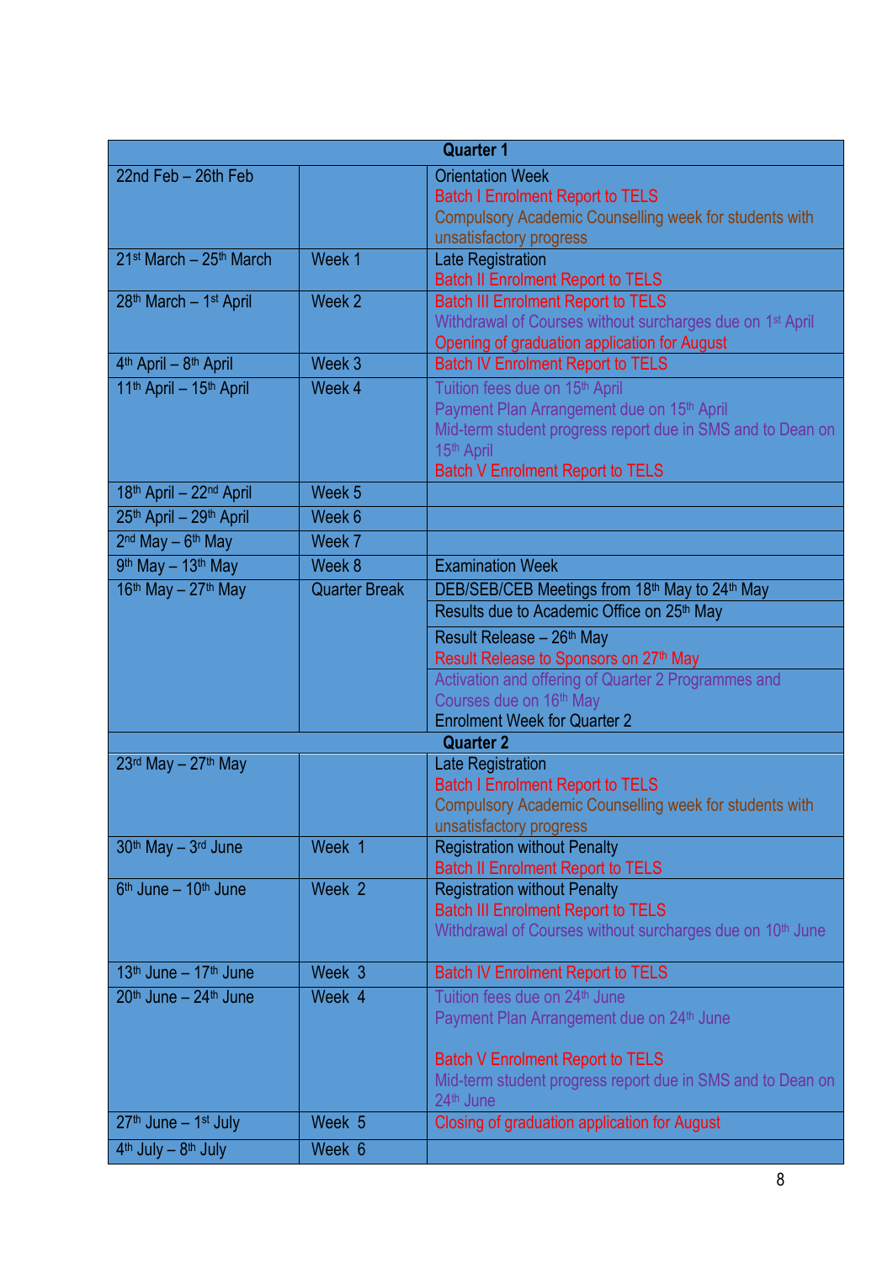| <b>Quarter 1</b>                                |                      |                                                                                                   |  |  |
|-------------------------------------------------|----------------------|---------------------------------------------------------------------------------------------------|--|--|
| 22nd Feb - 26th Feb                             |                      | <b>Orientation Week</b>                                                                           |  |  |
|                                                 |                      | <b>Batch I Enrolment Report to TELS</b>                                                           |  |  |
|                                                 |                      | Compulsory Academic Counselling week for students with                                            |  |  |
|                                                 |                      | unsatisfactory progress                                                                           |  |  |
| 21 <sup>st</sup> March - 25 <sup>th</sup> March | Week 1               | <b>Late Registration</b>                                                                          |  |  |
|                                                 |                      | <b>Batch II Enrolment Report to TELS</b>                                                          |  |  |
| 28th March - 1st April                          | Week 2               | <b>Batch III Enrolment Report to TELS</b>                                                         |  |  |
|                                                 |                      | Withdrawal of Courses without surcharges due on 1 <sup>st</sup> April                             |  |  |
| 4 <sup>th</sup> April - 8 <sup>th</sup> April   | Week 3               | Opening of graduation application for August<br><b>Batch IV Enrolment Report to TELS</b>          |  |  |
| 11th April - 15th April                         | Week 4               | Tuition fees due on 15th April                                                                    |  |  |
|                                                 |                      | Payment Plan Arrangement due on 15 <sup>th</sup> April                                            |  |  |
|                                                 |                      | Mid-term student progress report due in SMS and to Dean on                                        |  |  |
|                                                 |                      | 15th April                                                                                        |  |  |
|                                                 |                      | <b>Batch V Enrolment Report to TELS</b>                                                           |  |  |
| 18th April - 22nd April                         | Week <sub>5</sub>    |                                                                                                   |  |  |
| 25th April - 29th April                         | Week 6               |                                                                                                   |  |  |
| 2 <sup>nd</sup> May - 6 <sup>th</sup> May       | Week 7               |                                                                                                   |  |  |
| 9th May - 13th May                              | Week 8               | <b>Examination Week</b>                                                                           |  |  |
| $16th$ May - $27th$ May                         | <b>Quarter Break</b> | DEB/SEB/CEB Meetings from 18th May to 24th May                                                    |  |  |
|                                                 |                      | Results due to Academic Office on 25 <sup>th</sup> May                                            |  |  |
|                                                 |                      | Result Release - 26 <sup>th</sup> May                                                             |  |  |
|                                                 |                      | Result Release to Sponsors on 27 <sup>th</sup> May                                                |  |  |
|                                                 |                      | Activation and offering of Quarter 2 Programmes and                                               |  |  |
|                                                 |                      | Courses due on 16th May                                                                           |  |  |
|                                                 |                      | <b>Enrolment Week for Quarter 2</b>                                                               |  |  |
|                                                 |                      | <b>Quarter 2</b>                                                                                  |  |  |
| $23$ <sup>rd</sup> May - $27th$ May             |                      | <b>Late Registration</b>                                                                          |  |  |
|                                                 |                      | <b>Batch I Enrolment Report to TELS</b><br>Compulsory Academic Counselling week for students with |  |  |
|                                                 |                      | unsatisfactory progress                                                                           |  |  |
| 30 <sup>th</sup> May - 3 <sup>rd</sup> June     | Week 1               | <b>Registration without Penalty</b>                                                               |  |  |
|                                                 |                      | <b>Batch II Enrolment Report to TELS</b>                                                          |  |  |
| 6 <sup>th</sup> June - 10 <sup>th</sup> June    | Week 2               | <b>Registration without Penalty</b>                                                               |  |  |
|                                                 |                      | <b>Batch III Enrolment Report to TELS</b>                                                         |  |  |
|                                                 |                      | Withdrawal of Courses without surcharges due on 10 <sup>th</sup> June                             |  |  |
|                                                 |                      |                                                                                                   |  |  |
| 13 <sup>th</sup> June - 17 <sup>th</sup> June   | Week 3               | <b>Batch IV Enrolment Report to TELS</b>                                                          |  |  |
| 20 <sup>th</sup> June - 24 <sup>th</sup> June   | Week 4               | Tuition fees due on 24 <sup>th</sup> June                                                         |  |  |
|                                                 |                      | Payment Plan Arrangement due on 24 <sup>th</sup> June                                             |  |  |
|                                                 |                      | <b>Batch V Enrolment Report to TELS</b>                                                           |  |  |
|                                                 |                      | Mid-term student progress report due in SMS and to Dean on                                        |  |  |
|                                                 |                      | 24 <sup>th</sup> June                                                                             |  |  |
| $27th$ June – 1 <sup>st</sup> July              | Week 5               | Closing of graduation application for August                                                      |  |  |
| 4 <sup>th</sup> July - 8 <sup>th</sup> July     | Week 6               |                                                                                                   |  |  |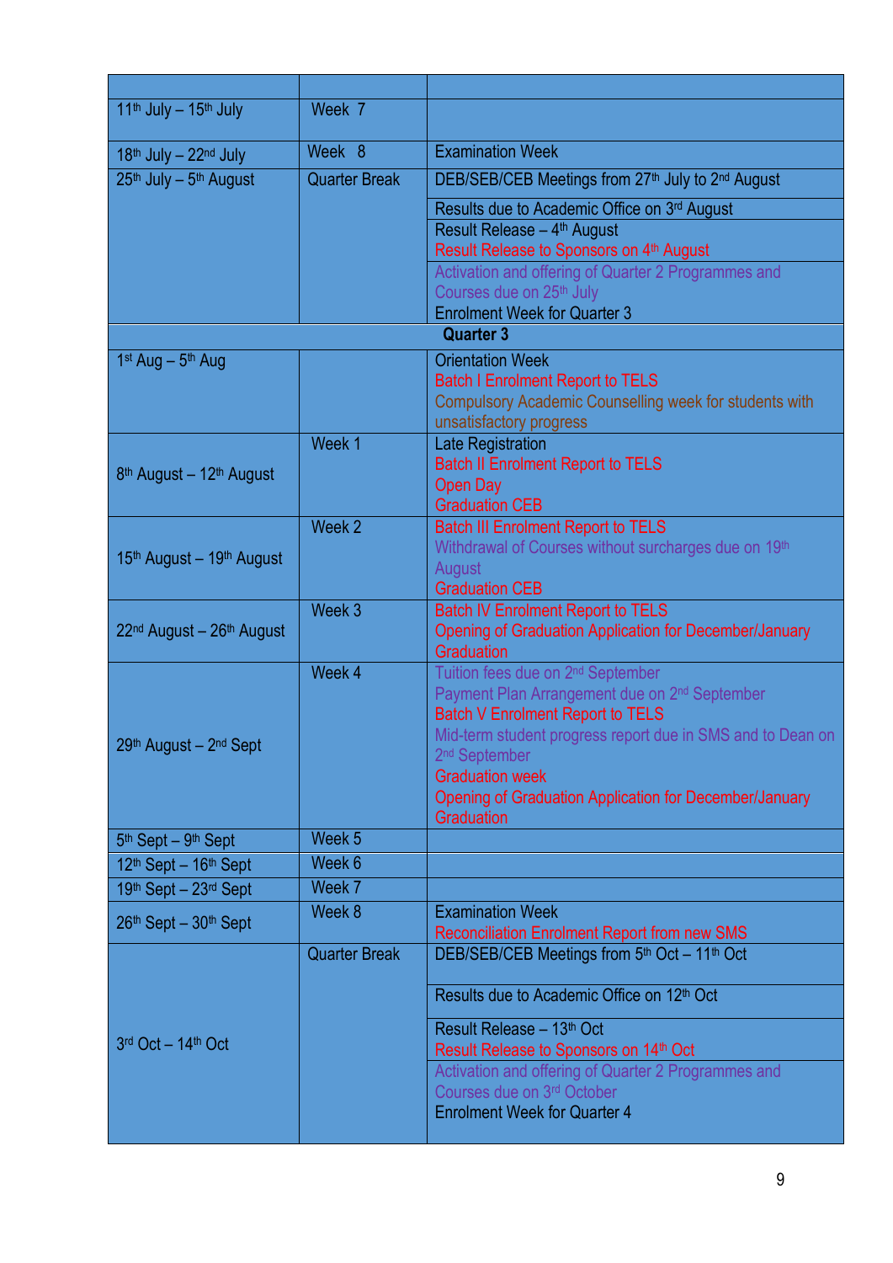| $11th$ July - $15th$ July                                                                    | Week 7               |                                                                                                   |
|----------------------------------------------------------------------------------------------|----------------------|---------------------------------------------------------------------------------------------------|
| $18th$ July - $22nd$ July                                                                    | Week 8               | <b>Examination Week</b>                                                                           |
| 25th July - 5th August                                                                       | <b>Quarter Break</b> | DEB/SEB/CEB Meetings from 27th July to 2nd August                                                 |
|                                                                                              |                      | Results due to Academic Office on 3rd August                                                      |
|                                                                                              |                      | Result Release - 4 <sup>th</sup> August                                                           |
|                                                                                              |                      | Result Release to Sponsors on 4th August                                                          |
|                                                                                              |                      | Activation and offering of Quarter 2 Programmes and                                               |
|                                                                                              |                      | Courses due on 25th July                                                                          |
|                                                                                              |                      | <b>Enrolment Week for Quarter 3</b>                                                               |
|                                                                                              |                      | <b>Quarter 3</b>                                                                                  |
| $1st$ Aug – $5th$ Aug                                                                        |                      | <b>Orientation Week</b>                                                                           |
|                                                                                              |                      | <b>Batch I Enrolment Report to TELS</b>                                                           |
|                                                                                              |                      | Compulsory Academic Counselling week for students with                                            |
|                                                                                              |                      | unsatisfactory progress                                                                           |
|                                                                                              | Week 1               | <b>Late Registration</b>                                                                          |
| 8 <sup>th</sup> August - 12 <sup>th</sup> August                                             |                      | <b>Batch II Enrolment Report to TELS</b>                                                          |
|                                                                                              |                      | <b>Open Day</b>                                                                                   |
|                                                                                              | Week 2               | <b>Graduation CEB</b>                                                                             |
|                                                                                              |                      | <b>Batch III Enrolment Report to TELS</b><br>Withdrawal of Courses without surcharges due on 19th |
| 15th August - 19th August                                                                    |                      | August                                                                                            |
|                                                                                              |                      | <b>Graduation CEB</b>                                                                             |
|                                                                                              | Week 3               | <b>Batch IV Enrolment Report to TELS</b>                                                          |
| 22 <sup>nd</sup> August - 26 <sup>th</sup> August                                            |                      | Opening of Graduation Application for December/January                                            |
|                                                                                              |                      | Graduation                                                                                        |
|                                                                                              | Week 4               | Tuition fees due on 2 <sup>nd</sup> September                                                     |
|                                                                                              |                      | Payment Plan Arrangement due on 2 <sup>nd</sup> September                                         |
|                                                                                              |                      | <b>Batch V Enrolment Report to TELS</b>                                                           |
| 29th August - 2nd Sept                                                                       |                      | Mid-term student progress report due in SMS and to Dean on                                        |
|                                                                                              |                      | 2 <sup>nd</sup> September                                                                         |
|                                                                                              |                      | <b>Graduation week</b>                                                                            |
|                                                                                              |                      | Opening of Graduation Application for December/January                                            |
|                                                                                              | Week 5               | Graduation                                                                                        |
| 5 <sup>th</sup> Sept - 9 <sup>th</sup> Sept<br>12 <sup>th</sup> Sept - 16 <sup>th</sup> Sept | Week 6               |                                                                                                   |
| 19th Sept - 23rd Sept                                                                        | Week 7               |                                                                                                   |
|                                                                                              | Week 8               | <b>Examination Week</b>                                                                           |
| 26th Sept - 30th Sept                                                                        |                      | <b>Reconciliation Enrolment Report from new SMS</b>                                               |
|                                                                                              | <b>Quarter Break</b> | DEB/SEB/CEB Meetings from 5th Oct - 11th Oct                                                      |
|                                                                                              |                      |                                                                                                   |
|                                                                                              |                      | Results due to Academic Office on 12 <sup>th</sup> Oct                                            |
|                                                                                              |                      |                                                                                                   |
| 3rd Oct - 14th Oct                                                                           |                      | Result Release - 13th Oct                                                                         |
|                                                                                              |                      | Result Release to Sponsors on 14th Oct                                                            |
|                                                                                              |                      | Activation and offering of Quarter 2 Programmes and<br>Courses due on 3rd October                 |
|                                                                                              |                      | <b>Enrolment Week for Quarter 4</b>                                                               |
|                                                                                              |                      |                                                                                                   |